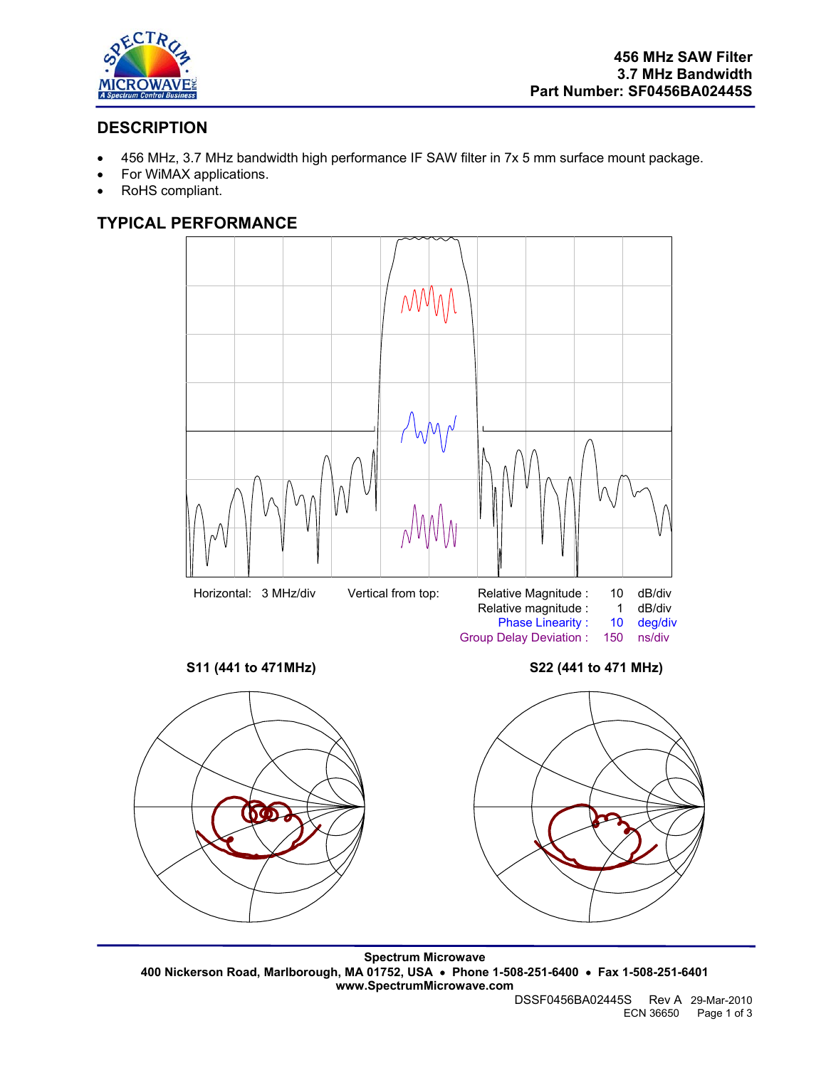

# **DESCRIPTION**

- 456 MHz, 3.7 MHz bandwidth high performance IF SAW filter in 7x 5 mm surface mount package.
- For WiMAX applications.
- RoHS compliant.

### **TYPICAL PERFORMANCE**







**Spectrum Microwave 400 Nickerson Road, Marlborough, MA 01752, USA** • **Phone 1-508-251-6400** • **Fax 1-508-251-6401 www.SpectrumMicrowave.com** 

DSSF0456BA02445S Rev A 29-Mar-2010 ECN 36650 Page 1 of 3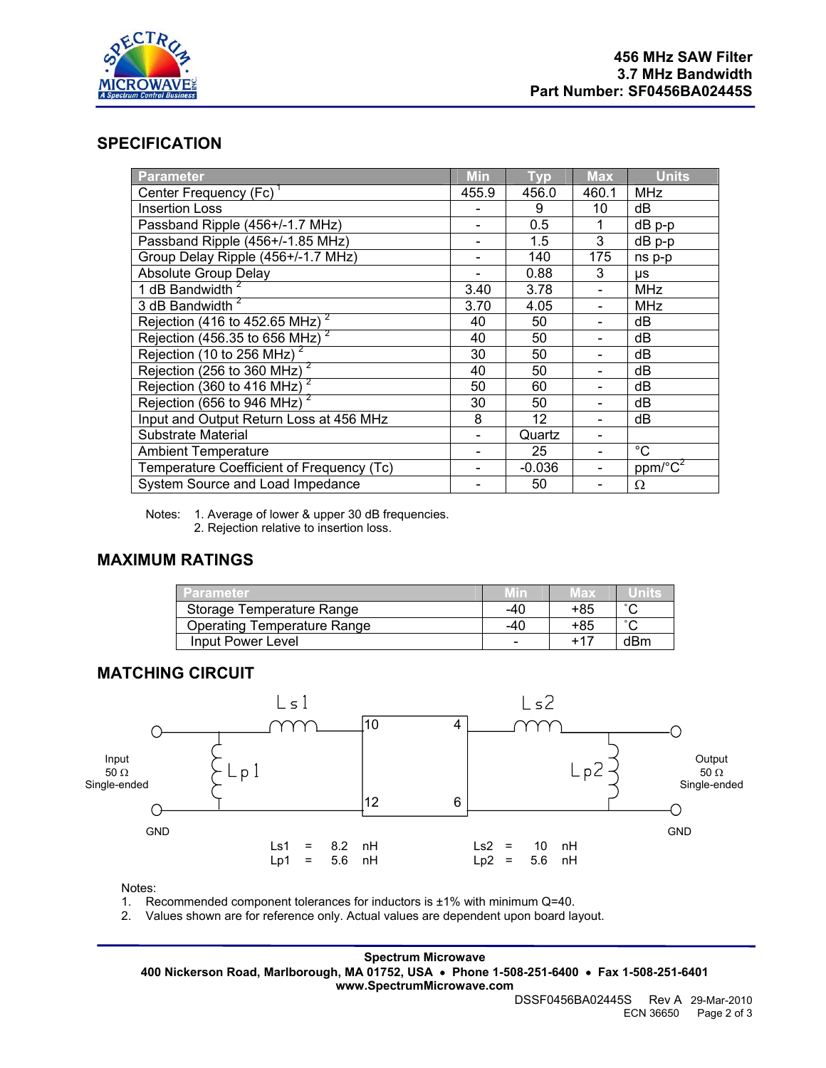

#### **SPECIFICATION**

| Parameter                                             | <b>Min</b> | <b>Typ</b> | <b>Max</b> | <b>Units</b>                        |
|-------------------------------------------------------|------------|------------|------------|-------------------------------------|
| Center Frequency (Fc) <sup>1</sup>                    | 455.9      | 456.0      | 460.1      | <b>MHz</b>                          |
| <b>Insertion Loss</b>                                 |            | 9          | 10         | dB                                  |
| Passband Ripple (456+/-1.7 MHz)                       |            | 0.5        | 1          | dB p-p                              |
| Passband Ripple (456+/-1.85 MHz)                      |            | 1.5        | 3          | dB p-p                              |
| Group Delay Ripple (456+/-1.7 MHz)                    |            | 140        | 175        | ns p-p                              |
| <b>Absolute Group Delay</b>                           |            | 0.88       | 3          | μs                                  |
| 1 dB Bandwidth <sup>2</sup>                           | 3.40       | 3.78       |            | <b>MHz</b>                          |
| 3 dB Bandwidth <sup>2</sup>                           | 3.70       | 4.05       |            | <b>MHz</b>                          |
| Rejection (416 to 452.65 MHz) <sup>2</sup>            | 40         | 50         |            | dB                                  |
| Rejection (456.35 to 656 MHz) <sup>2</sup>            | 40         | 50         |            | dB                                  |
| Rejection (10 to 256 MHz) <sup>2</sup>                | 30         | 50         |            | dB                                  |
| Rejection ( $\overline{256}$ to 360 MHz) <sup>2</sup> | 40         | 50         |            | dB                                  |
| Rejection (360 to 416 MHz) $^2$                       | 50         | 60         |            | dB                                  |
| Rejection (656 to 946 MHz) $^2$                       | 30         | 50         |            | dB                                  |
| Input and Output Return Loss at 456 MHz               | 8          | 12         |            | dB                                  |
| Substrate Material                                    |            | Quartz     |            |                                     |
| <b>Ambient Temperature</b>                            |            | 25         |            | $^{\circ}C$                         |
| Temperature Coefficient of Frequency (Tc)             |            | $-0.036$   |            | $ppm$ <sup>o</sup> $\overline{C^2}$ |
| System Source and Load Impedance                      |            | 50         |            | Ω                                   |

Notes: 1. Average of lower & upper 30 dB frequencies. 2. Rejection relative to insertion loss.

#### **MAXIMUM RATINGS**

| l Parameter <b>∕</b>               |     | Max | unns   |
|------------------------------------|-----|-----|--------|
| Storage Temperature Range          | -40 | +85 | $\sim$ |
| <b>Operating Temperature Range</b> | -40 | +85 | $\sim$ |
| Input Power Level                  | -   |     | dBm    |

#### **MATCHING CIRCUIT**



Notes:

1. Recommended component tolerances for inductors is ±1% with minimum Q=40.

2. Values shown are for reference only. Actual values are dependent upon board layout.

#### **Spectrum Microwave**

**400 Nickerson Road, Marlborough, MA 01752, USA** • **Phone 1-508-251-6400** • **Fax 1-508-251-6401 www.SpectrumMicrowave.com**